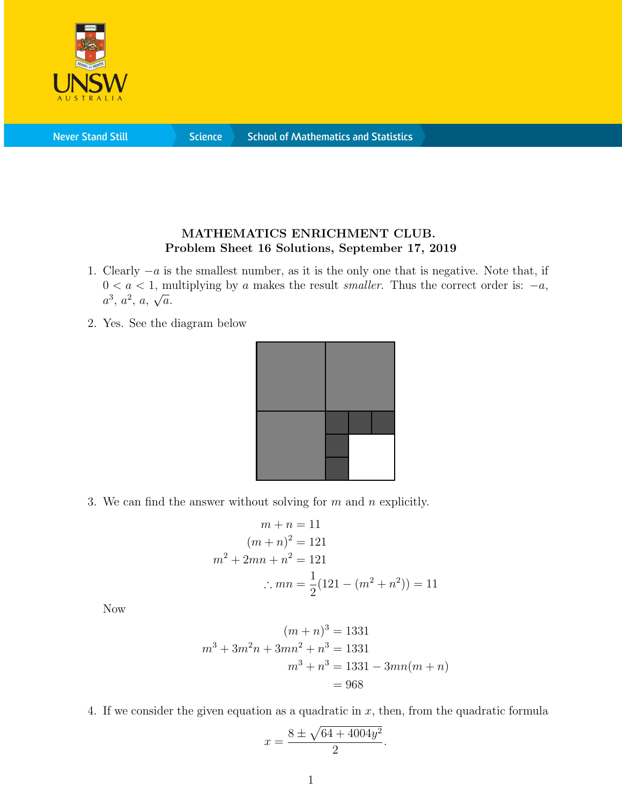

**Never Stand Still** 

**Science** 

## MATHEMATICS ENRICHMENT CLUB. Problem Sheet 16 Solutions, September 17, 2019

- 1. Clearly −a is the smallest number, as it is the only one that is negative. Note that, if  $0 < a < 1$ , multiplying by a makes the result *smaller*. Thus the correct order is:  $-a$ ,  $a^3, a^2, a, \sqrt{a}.$
- 2. Yes. See the diagram below



3. We can find the answer without solving for  $m$  and  $n$  explicitly.

$$
m + n = 11
$$
  
\n
$$
(m + n)^2 = 121
$$
  
\n
$$
m^2 + 2mn + n^2 = 121
$$
  
\n
$$
\therefore mn = \frac{1}{2}(121 - (m^2 + n^2)) = 11
$$

Now

$$
(m+n)^3 = 1331
$$
  

$$
m^3 + 3m^2n + 3mn^2 + n^3 = 1331
$$
  

$$
m^3 + n^3 = 1331 - 3mn(m+n)
$$
  

$$
= 968
$$

4. If we consider the given equation as a quadratic in x, then, from the quadratic formula

$$
x = \frac{8 \pm \sqrt{64 + 4004y^2}}{2}
$$

.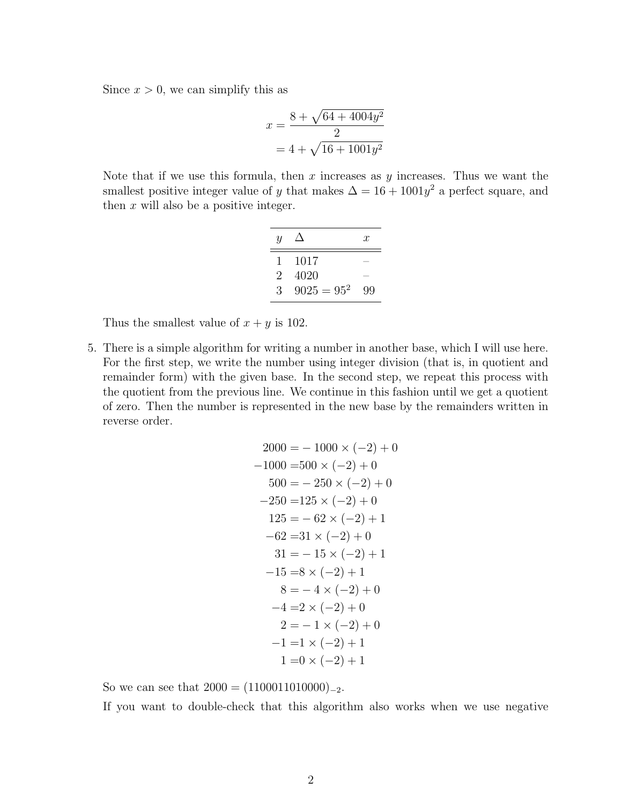Since  $x > 0$ , we can simplify this as

$$
x = \frac{8 + \sqrt{64 + 4004y^2}}{2}
$$

$$
= 4 + \sqrt{16 + 1001y^2}
$$

Note that if we use this formula, then  $x$  increases as  $y$  increases. Thus we want the smallest positive integer value of y that makes  $\Delta = 16 + 1001y^2$  a perfect square, and then  $x$  will also be a positive integer.

| Ч             |               | $\mathcal{X}$ |
|---------------|---------------|---------------|
|               | 1017          |               |
| $\mathcal{D}$ | 4020          |               |
| 3             | $9025 = 95^2$ | 99            |

Thus the smallest value of  $x + y$  is 102.

5. There is a simple algorithm for writing a number in another base, which I will use here. For the first step, we write the number using integer division (that is, in quotient and remainder form) with the given base. In the second step, we repeat this process with the quotient from the previous line. We continue in this fashion until we get a quotient of zero. Then the number is represented in the new base by the remainders written in reverse order.

$$
2000 = -1000 \times (-2) + 0
$$
  
\n
$$
-1000 = 500 \times (-2) + 0
$$
  
\n
$$
500 = -250 \times (-2) + 0
$$
  
\n
$$
-250 = 125 \times (-2) + 0
$$
  
\n
$$
125 = -62 \times (-2) + 1
$$
  
\n
$$
-62 = 31 \times (-2) + 0
$$
  
\n
$$
31 = -15 \times (-2) + 1
$$
  
\n
$$
-15 = 8 \times (-2) + 1
$$
  
\n
$$
8 = -4 \times (-2) + 0
$$
  
\n
$$
-4 = 2 \times (-2) + 0
$$
  
\n
$$
2 = -1 \times (-2) + 0
$$
  
\n
$$
-1 = 1 \times (-2) + 1
$$
  
\n
$$
1 = 0 \times (-2) + 1
$$

So we can see that  $2000 = (1100011010000)_{-2}$ .

If you want to double-check that this algorithm also works when we use negative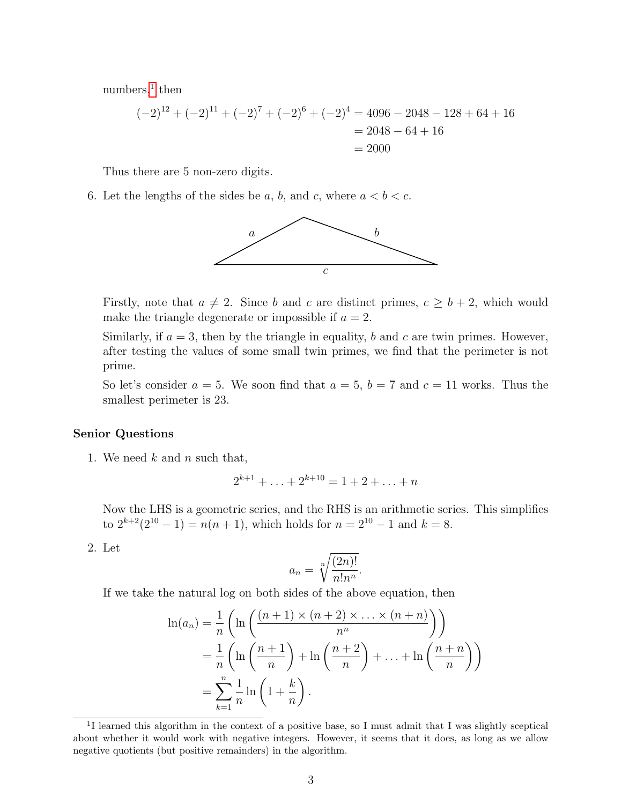$\mu$ numbers,<sup>[1](#page-2-0)</sup> then

$$
(-2)^{12} + (-2)^{11} + (-2)^7 + (-2)^6 + (-2)^4 = 4096 - 2048 - 128 + 64 + 16
$$
  
= 2048 - 64 + 16  
= 2000

Thus there are 5 non-zero digits.

6. Let the lengths of the sides be a, b, and c, where  $a < b < c$ .



Firstly, note that  $a \neq 2$ . Since b and c are distinct primes,  $c \geq b + 2$ , which would make the triangle degenerate or impossible if  $a = 2$ .

Similarly, if  $a = 3$ , then by the triangle in equality, b and c are twin primes. However, after testing the values of some small twin primes, we find that the perimeter is not prime.

So let's consider  $a = 5$ . We soon find that  $a = 5$ ,  $b = 7$  and  $c = 11$  works. Thus the smallest perimeter is 23.

## Senior Questions

1. We need  $k$  and  $n$  such that,

$$
2^{k+1} + \ldots + 2^{k+10} = 1 + 2 + \ldots + n
$$

Now the LHS is a geometric series, and the RHS is an arithmetic series. This simplifies to  $2^{k+2}(2^{10}-1) = n(n+1)$ , which holds for  $n = 2^{10}-1$  and  $k = 8$ .

2. Let

$$
a_n = \sqrt[n]{\frac{(2n)!}{n!n^n}}.
$$

If we take the natural log on both sides of the above equation, then

$$
\ln(a_n) = \frac{1}{n} \left( \ln \left( \frac{(n+1) \times (n+2) \times \ldots \times (n+n)}{n^n} \right) \right)
$$
  
= 
$$
\frac{1}{n} \left( \ln \left( \frac{n+1}{n} \right) + \ln \left( \frac{n+2}{n} \right) + \ldots + \ln \left( \frac{n+n}{n} \right) \right)
$$
  
= 
$$
\sum_{k=1}^n \frac{1}{n} \ln \left( 1 + \frac{k}{n} \right).
$$

<span id="page-2-0"></span><sup>&</sup>lt;sup>1</sup>I learned this algorithm in the context of a positive base, so I must admit that I was slightly sceptical about whether it would work with negative integers. However, it seems that it does, as long as we allow negative quotients (but positive remainders) in the algorithm.